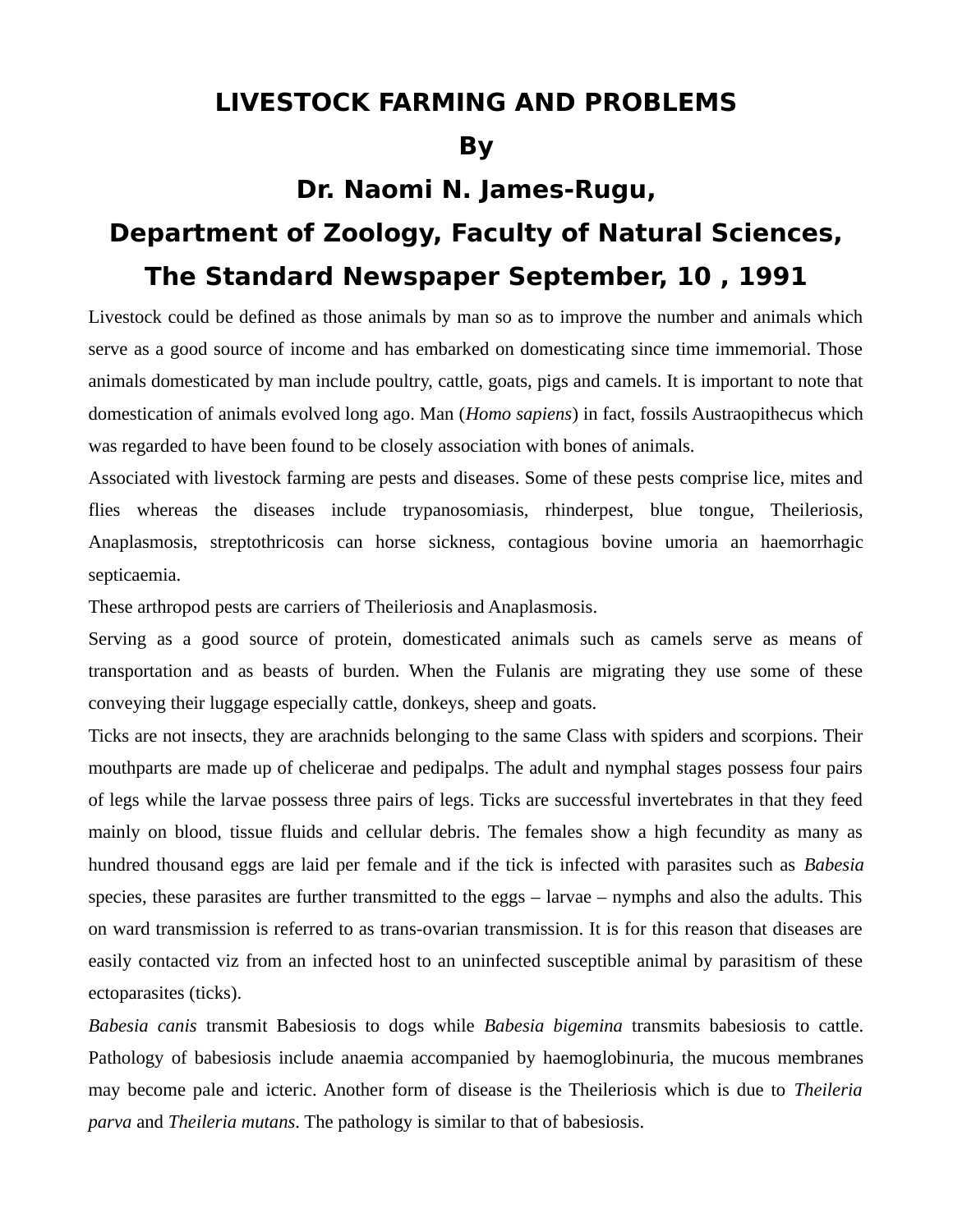## **LIVESTOCK FARMING AND PROBLEMS**

## **By**

## **Dr. Naomi N. James-Rugu, Department of Zoology, Faculty of Natural Sciences, The Standard Newspaper September, 10 , 1991**

Livestock could be defined as those animals by man so as to improve the number and animals which serve as a good source of income and has embarked on domesticating since time immemorial. Those animals domesticated by man include poultry, cattle, goats, pigs and camels. It is important to note that domestication of animals evolved long ago. Man (*Homo sapiens*) in fact, fossils Austraopithecus which was regarded to have been found to be closely association with bones of animals.

Associated with livestock farming are pests and diseases. Some of these pests comprise lice, mites and flies whereas the diseases include trypanosomiasis, rhinderpest, blue tongue, Theileriosis, Anaplasmosis, streptothricosis can horse sickness, contagious bovine umoria an haemorrhagic septicaemia.

These arthropod pests are carriers of Theileriosis and Anaplasmosis.

Serving as a good source of protein, domesticated animals such as camels serve as means of transportation and as beasts of burden. When the Fulanis are migrating they use some of these conveying their luggage especially cattle, donkeys, sheep and goats.

Ticks are not insects, they are arachnids belonging to the same Class with spiders and scorpions. Their mouthparts are made up of chelicerae and pedipalps. The adult and nymphal stages possess four pairs of legs while the larvae possess three pairs of legs. Ticks are successful invertebrates in that they feed mainly on blood, tissue fluids and cellular debris. The females show a high fecundity as many as hundred thousand eggs are laid per female and if the tick is infected with parasites such as *Babesia* species, these parasites are further transmitted to the eggs – larvae – nymphs and also the adults. This on ward transmission is referred to as trans-ovarian transmission. It is for this reason that diseases are easily contacted viz from an infected host to an uninfected susceptible animal by parasitism of these ectoparasites (ticks).

*Babesia canis* transmit Babesiosis to dogs while *Babesia bigemina* transmits babesiosis to cattle. Pathology of babesiosis include anaemia accompanied by haemoglobinuria, the mucous membranes may become pale and icteric. Another form of disease is the Theileriosis which is due to *Theileria parva* and *Theileria mutans*. The pathology is similar to that of babesiosis.